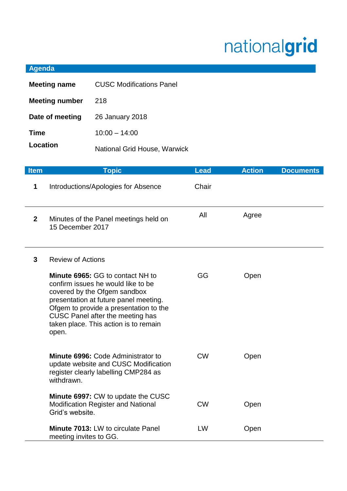## nationalgrid

## **Agenda**

| <b>Meeting name</b>   | <b>CUSC Modifications Panel</b>     |
|-----------------------|-------------------------------------|
| <b>Meeting number</b> | 218                                 |
| Date of meeting       | 26 January 2018                     |
| <b>Time</b>           | $10:00 - 14:00$                     |
| Location              | <b>National Grid House, Warwick</b> |

| <b>Item</b>  | <b>Topic</b>                                                                                                                                                                                                                                                                           | <b>Lead</b> | <b>Action</b> | <b>Documents</b> |
|--------------|----------------------------------------------------------------------------------------------------------------------------------------------------------------------------------------------------------------------------------------------------------------------------------------|-------------|---------------|------------------|
| 1            | Introductions/Apologies for Absence                                                                                                                                                                                                                                                    | Chair       |               |                  |
| $\mathbf{2}$ | Minutes of the Panel meetings held on<br>15 December 2017                                                                                                                                                                                                                              | All         | Agree         |                  |
| $\mathbf{3}$ | <b>Review of Actions</b>                                                                                                                                                                                                                                                               |             |               |                  |
|              | Minute 6965: GG to contact NH to<br>confirm issues he would like to be<br>covered by the Ofgem sandbox<br>presentation at future panel meeting.<br>Ofgem to provide a presentation to the<br><b>CUSC Panel after the meeting has</b><br>taken place. This action is to remain<br>open. | GG          | Open          |                  |
|              | Minute 6996: Code Administrator to<br>update website and CUSC Modification<br>register clearly labelling CMP284 as<br>withdrawn.                                                                                                                                                       | <b>CW</b>   | Open          |                  |
|              | <b>Minute 6997: CW to update the CUSC</b><br><b>Modification Register and National</b><br>Grid's website.                                                                                                                                                                              | <b>CW</b>   | Open          |                  |
|              | <b>Minute 7013: LW to circulate Panel</b><br>meeting invites to GG.                                                                                                                                                                                                                    | LW          | Open          |                  |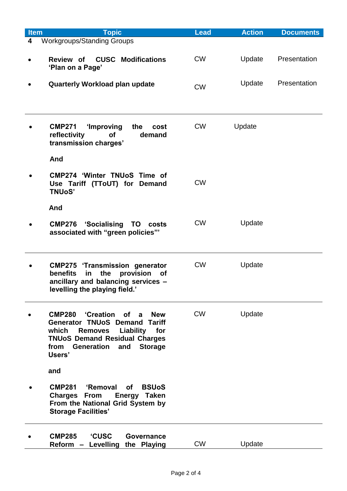| <b>Item</b> | <b>Topic</b>                                                                                                                                                                                                                                 | <b>Lead</b> | <b>Action</b> | <b>Documents</b> |
|-------------|----------------------------------------------------------------------------------------------------------------------------------------------------------------------------------------------------------------------------------------------|-------------|---------------|------------------|
| 4           | Workgroups/Standing Groups                                                                                                                                                                                                                   |             |               |                  |
|             | <b>CUSC Modifications</b><br>Review of<br>'Plan on a Page'                                                                                                                                                                                   | <b>CW</b>   | Update        | Presentation     |
|             | Quarterly Workload plan update                                                                                                                                                                                                               | <b>CW</b>   | Update        | Presentation     |
|             |                                                                                                                                                                                                                                              |             |               |                  |
|             | 'Improving<br>the<br><b>CMP271</b><br>cost<br>reflectivity<br><b>of</b><br>demand<br>transmission charges'                                                                                                                                   | <b>CW</b>   | Update        |                  |
|             | And                                                                                                                                                                                                                                          |             |               |                  |
|             | <b>CMP274 'Winter TNUoS Time of</b><br>Use Tariff (TToUT) for Demand<br><b>TNUoS'</b>                                                                                                                                                        | <b>CW</b>   |               |                  |
|             | And                                                                                                                                                                                                                                          |             |               |                  |
|             | 'Socialising<br><b>CMP276</b><br><b>TO</b><br>costs<br>associated with "green policies"'                                                                                                                                                     | <b>CW</b>   | Update        |                  |
|             | <b>CMP275 'Transmission generator</b><br><b>benefits</b><br>the<br>provision<br>in<br><b>of</b><br>ancillary and balancing services -<br>levelling the playing field.'                                                                       | <b>CW</b>   | Update        |                  |
|             | <b>CMP280</b><br>'Creation of a<br><b>New</b><br><b>Generator TNUoS Demand Tariff</b><br>Liability<br>which<br><b>Removes</b><br>for<br><b>TNUoS Demand Residual Charges</b><br><b>Generation</b><br><b>Storage</b><br>from<br>and<br>Users' | <b>CW</b>   | Update        |                  |
|             | and                                                                                                                                                                                                                                          |             |               |                  |
|             | <b>CMP281</b><br>'Removal<br><b>of</b><br><b>BSUoS</b><br><b>Charges From</b><br>Energy Taken<br>From the National Grid System by<br><b>Storage Facilities'</b>                                                                              |             |               |                  |
|             | <b>CMP285</b><br><b>'CUSC</b><br>Governance<br>Reform - Levelling the Playing                                                                                                                                                                | <b>CW</b>   | Update        |                  |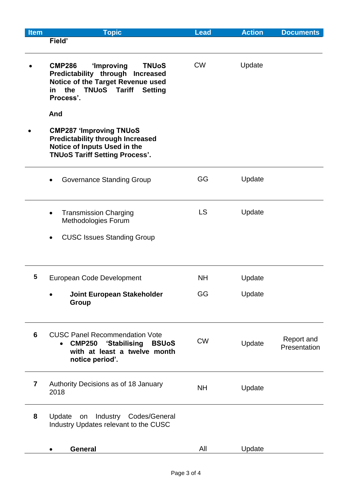| Item                    | <b>Topic</b>                                                                                              | <b>Lead</b> | <b>Action</b> | <b>Documents</b> |
|-------------------------|-----------------------------------------------------------------------------------------------------------|-------------|---------------|------------------|
|                         | Field'                                                                                                    |             |               |                  |
|                         | <b>CMP286</b><br>'Improving<br><b>TNUoS</b>                                                               | <b>CW</b>   | Update        |                  |
|                         | Predictability through Increased<br>Notice of the Target Revenue used                                     |             |               |                  |
|                         | <b>TNUoS</b><br><b>Tariff</b><br>the<br><b>Setting</b><br>in<br>Process'.                                 |             |               |                  |
|                         | And                                                                                                       |             |               |                  |
|                         | <b>CMP287 'Improving TNUoS</b><br><b>Predictability through Increased</b><br>Notice of Inputs Used in the |             |               |                  |
|                         | <b>TNUoS Tariff Setting Process'.</b>                                                                     |             |               |                  |
|                         | Governance Standing Group                                                                                 | GG          | Update        |                  |
|                         | <b>Transmission Charging</b><br>$\bullet$                                                                 | <b>LS</b>   | Update        |                  |
|                         | Methodologies Forum                                                                                       |             |               |                  |
|                         | <b>CUSC Issues Standing Group</b>                                                                         |             |               |                  |
|                         |                                                                                                           |             |               |                  |
| 5                       | European Code Development                                                                                 | <b>NH</b>   | Update        |                  |
|                         | <b>Joint European Stakeholder</b><br><b>Group</b>                                                         | GG          | Update        |                  |
|                         |                                                                                                           |             |               |                  |
| 6                       | <b>CUSC Panel Recommendation Vote</b>                                                                     |             |               | Report and       |
|                         | <b>CMP250</b><br>'Stabilising<br><b>BSUoS</b><br>$\bullet$<br>with at least a twelve month                | <b>CW</b>   | Update        | Presentation     |
|                         | notice period'.                                                                                           |             |               |                  |
| $\overline{\mathbf{r}}$ | Authority Decisions as of 18 January                                                                      | <b>NH</b>   | Update        |                  |
|                         | 2018                                                                                                      |             |               |                  |
| 8                       | Update<br><b>Industry</b><br>Codes/General<br>on                                                          |             |               |                  |
|                         | Industry Updates relevant to the CUSC                                                                     |             |               |                  |
|                         | <b>General</b>                                                                                            | All         | Update        |                  |